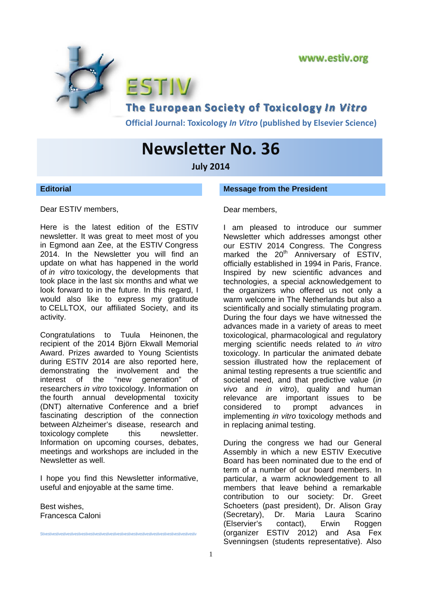

**Official Journal: Toxicology** *In Vitro* **(published by Elsevier Science)**

# **Newsletter No. 36**

**July 2014**

**Editorial** 

**Message from the President** 

Dear ESTIV members,

Here is the latest edition of the ESTIV newsletter. It was great to meet most of you in Egmond aan Zee, at the ESTIV Congress 2014. In the Newsletter you will find an update on what has happened in the world of *in vitro* toxicology, the developments that took place in the last six months and what we look forward to in the future. In this regard, I would also like to express my gratitude to CELLTOX, our affiliated Society, and its activity.

Congratulations to Tuula Heinonen, the recipient of the 2014 Björn Ekwall Memorial Award. Prizes awarded to Young Scientists during ESTIV 2014 are also reported here, demonstrating the involvement and the interest of the "new generation" of researchers *in vitro* toxicology. Information on the fourth annual developmental toxicity (DNT) alternative Conference and a brief fascinating description of the connection between Alzheimer's disease, research and toxicology complete this newsletter. Information on upcoming courses, debates, meetings and workshops are included in the Newsletter as well.

I hope you find this Newsletter informative, useful and enjoyable at the same time.

Best wishes, Francesca Caloni

Stivestivestivestivestivestivestivestivestivestivestivestivestivestivestivestivestivestivestivestivestivestiv

# Dear members,

I am pleased to introduce our summer Newsletter which addresses amongst other our ESTIV 2014 Congress. The Congress marked the  $20<sup>th</sup>$  Anniversary of ESTIV, officially established in 1994 in Paris, France. Inspired by new scientific advances and technologies, a special acknowledgement to the organizers who offered us not only a warm welcome in The Netherlands but also a scientifically and socially stimulating program. During the four days we have witnessed the advances made in a variety of areas to meet toxicological, pharmacological and regulatory merging scientific needs related to *in vitro* toxicology. In particular the animated debate session illustrated how the replacement of animal testing represents a true scientific and societal need, and that predictive value (*in vivo* and *in vitro*), quality and human relevance are important issues to be considered to prompt advances in implementing *in vitro* toxicology methods and in replacing animal testing.

During the congress we had our General Assembly in which a new ESTIV Executive Board has been nominated due to the end of term of a number of our board members. In particular, a warm acknowledgement to all members that leave behind a remarkable contribution to our society: Dr. Greet Schoeters (past president), Dr. Alison Gray (Secretary), Dr. Maria Laura Scarino (Elservier's contact), Erwin Roggen (organizer ESTIV 2012) and Asa Fex Svenningsen (students representative). Also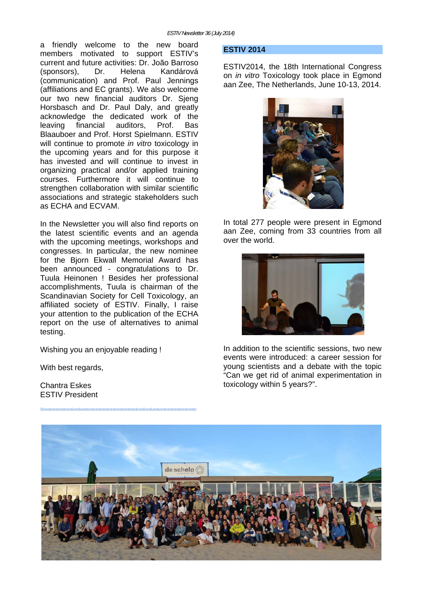a friendly welcome to the new board members motivated to support ESTIV's current and future activities: Dr. João Barroso (sponsors), Dr. Helena Kandárová (communication) and Prof. Paul Jennings (affiliations and EC grants). We also welcome our two new financial auditors Dr. Sieng Horsbasch and Dr. Paul Daly, and greatly acknowledge the dedicated work of the leaving financial auditors, Prof. Bas Blaauboer and Prof. Horst Spielmann. ESTIV will continue to promote *in vitro* toxicology in the upcoming years and for this purpose it has invested and will continue to invest in organizing practical and/or applied training courses. Furthermore it will continue to strengthen collaboration with similar scientific associations and strategic stakeholders such as ECHA and ECVAM.

In the Newsletter you will also find reports on the latest scientific events and an agenda with the upcoming meetings, workshops and congresses. In particular, the new nominee for the Bjorn Ekwall Memorial Award has been announced - congratulations to Dr. Tuula Heinonen ! Besides her professional accomplishments, Tuula is chairman of the Scandinavian Society for Cell Toxicology, an affiliated society of ESTIV. Finally, I raise your attention to the publication of the ECHA report on the use of alternatives to animal testing.

Stivestivestivestivestivestivestivestivestivestivestivestivestivestivestivestivestivestivestivestivestivestiv

Wishing you an enjoyable reading !

With best regards,

Chantra Eskes ESTIV President

#### **ESTIV 2014**

ESTIV2014, the 18th International Congress on *in vitro* Toxicology took place in Egmond aan Zee, The Netherlands, June 10-13, 2014.



In total 277 people were present in Egmond aan Zee, coming from 33 countries from all over the world.



In addition to the scientific sessions, two new events were introduced: a career session for young scientists and a debate with the topic "Can we get rid of animal experimentation in toxicology within 5 years?".

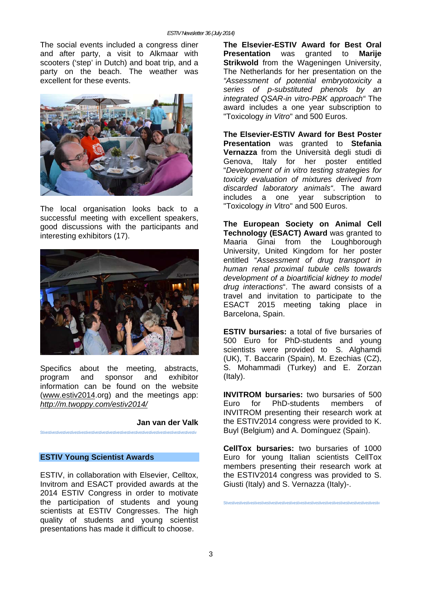The social events included a congress diner and after party, a visit to Alkmaar with scooters ('step' in Dutch) and boat trip, and a party on the beach. The weather was excellent for these events.



The local organisation looks back to a successful meeting with excellent speakers, good discussions with the participants and interesting exhibitors (17).



Specifics about the meeting, abstracts, program and sponsor and exhibitor information can be found on the website (www.estiv2014.org) and the meetings app: *http://m.twoppy.com/estiv2014/*

# **Jan van der Valk**

### **ESTIV Young Scientist Awards**

Stivestivestivestivestivestivestivestivestivestivestivestivestivestivestivestivestivestivestivestivestivestiv

ESTIV, in collaboration with Elsevier, Celltox, Invitrom and ESACT provided awards at the 2014 ESTIV Congress in order to motivate the participation of students and young scientists at ESTIV Congresses. The high quality of students and young scientist presentations has made it difficult to choose.

**The Elsevier-ESTIV Award for Best Oral Presentation** was granted to **Marije Strikwold** from the Wageningen University, The Netherlands for her presentation on the *"Assessment of potential embryotoxicity a series of p-substituted phenols by an integrated QSAR-in vitro-PBK approach"* The award includes a one year subscription to "Toxicology *in Vitro*" and 500 Euros.

**The Elsevier-ESTIV Award for Best Poster Presentation** was granted to **Stefania Vernazza** from the Università degli studi di Genova, Italy for her poster entitled "*Development of in vitro testing strategies for toxicity evaluation of mixtures derived from discarded laboratory animals"*. The award includes a one year subscription to "Toxicology *in V*itro" and 500 Euros.

**The European Society on Animal Cell Technology (ESACT) Award** was granted to Maaria Ginai from the Loughborough University, United Kingdom for her poster entitled "*Assessment of drug transport in human renal proximal tubule cells towards development of a bioartificial kidney to model drug interactions*". The award consists of a travel and invitation to participate to the ESACT 2015 meeting taking place in Barcelona, Spain.

**ESTIV bursaries:** a total of five bursaries of 500 Euro for PhD-students and young scientists were provided to S. Alghamdi (UK), T. Baccarin (Spain), M. Ezechias (CZ), S. Mohammadi (Turkey) and E. Zorzan (Italy).

**INVITROM bursaries:** two bursaries of 500 Euro for PhD-students members of INVITROM presenting their research work at the ESTIV2014 congress were provided to K. Buyl (Belgium) and A. Domínguez (Spain).

**CellTox bursaries:** two bursaries of 1000 Euro for young Italian scientists CellTox members presenting their research work at the ESTIV2014 congress was provided to S. Giusti (Italy) and S. Vernazza (Italy)-.

Stivestivestivestivestivestivestivestivestivestivestivestivestivestivestivestivestivestivestivestivestivestiv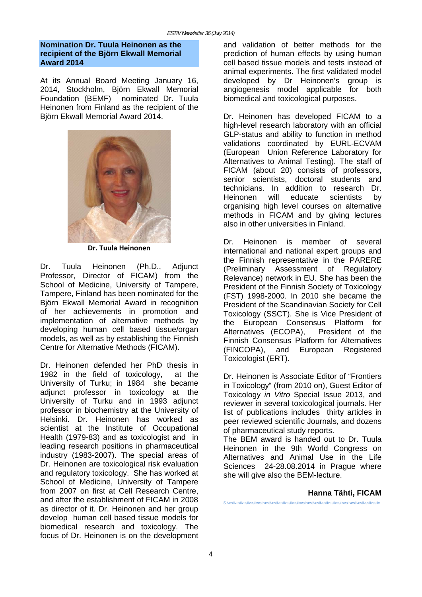### **Nomination Dr. Tuula Heinonen as the recipient of the Björn Ekwall Memorial Award 2014**

At its Annual Board Meeting January 16, 2014, Stockholm, Björn Ekwall Memorial Foundation (BEMF) nominated Dr. Tuula Heinonen from Finland as the recipient of the Björn Ekwall Memorial Award 2014.



**Dr. Tuula Heinonen**

Dr. Tuula Heinonen (Ph.D., Adjunct Professor, Director of FICAM) from the School of Medicine, University of Tampere, Tampere, Finland has been nominated for the Björn Ekwall Memorial Award in recognition of her achievements in promotion and implementation of alternative methods by developing human cell based tissue/organ models, as well as by establishing the Finnish Centre for Alternative Methods (FICAM).

Dr. Heinonen defended her PhD thesis in 1982 in the field of toxicology, at the University of Turku; in 1984 she became adjunct professor in toxicology at the University of Turku and in 1993 adjunct professor in biochemistry at the University of Helsinki. Dr. Heinonen has worked as scientist at the Institute of Occupational Health (1979-83) and as toxicologist and in leading research positions in pharmaceutical industry (1983-2007). The special areas of Dr. Heinonen are toxicological risk evaluation and regulatory toxicology. She has worked at School of Medicine, University of Tampere from 2007 on first at Cell Research Centre, and after the establishment of FICAM in 2008 as director of it. Dr. Heinonen and her group develop human cell based tissue models for biomedical research and toxicology. The focus of Dr. Heinonen is on the development

and validation of better methods for the prediction of human effects by using human cell based tissue models and tests instead of animal experiments. The first validated model developed by Dr Heinonen's group is angiogenesis model applicable for both biomedical and toxicological purposes.

Dr. Heinonen has developed FICAM to a high-level research laboratory with an official GLP-status and ability to function in method validations coordinated by EURL-ECVAM (European Union Reference Laboratory for Alternatives to Animal Testing). The staff of FICAM (about 20) consists of professors, senior scientists, doctoral students and technicians. In addition to research Dr. Heinonen will educate scientists by organising high level courses on alternative methods in FICAM and by giving lectures also in other universities in Finland.

Dr. Heinonen is member of several international and national expert groups and the Finnish representative in the PARERE (Preliminary Assessment of Regulatory Relevance) network in EU. She has been the President of the Finnish Society of Toxicology (FST) 1998-2000. In 2010 she became the President of the Scandinavian Society for Cell Toxicology (SSCT). She is Vice President of the European Consensus Platform for Alternatives (ECOPA), President of the Finnish Consensus Platform for Alternatives (FINCOPA), and European Registered Toxicologist (ERT).

Dr. Heinonen is Associate Editor of "Frontiers in Toxicology" (from 2010 on), Guest Editor of Toxicology *in Vitro* Special Issue 2013, and reviewer in several toxicological journals. Her list of publications includes thirty articles in peer reviewed scientific Journals, and dozens of pharmaceutical study reports.

The BEM award is handed out to Dr. Tuula Heinonen in the 9th World Congress on Alternatives and Animal Use in the Life Sciences 24-28.08.2014 in Prague where she will give also the BEM-lecture.

### **Hanna Tähti, FICAM**

Stivestivestivestivestivestivestivestivestivestivestivestivestivestivestivestivestivestivestivestivestivestiv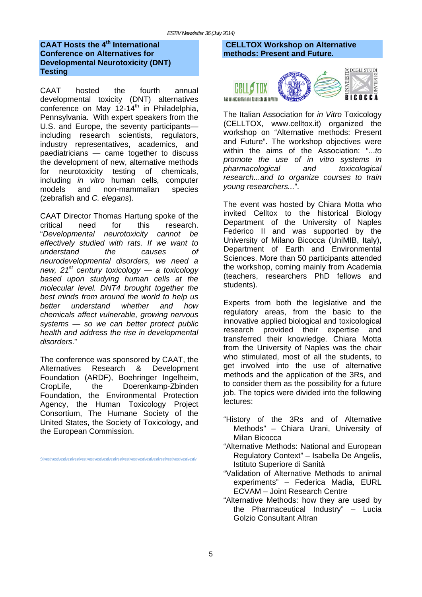# **CAAT Hosts the 4<sup>th</sup> International Conference on Alternatives for Developmental Neurotoxicity (DNT) Testing**

CAAT hosted the fourth annual developmental toxicity (DNT) alternatives conference on May  $12-14^{\text{th}}$  in Philadelphia, Pennsylvania. With expert speakers from the U.S. and Europe, the seventy participants including research scientists, regulators, industry representatives, academics, and paediatricians — came together to discuss the development of new, alternative methods for neurotoxicity testing of chemicals, including *in vitro* human cells*,* computer models and non-mammalian species (zebrafish and *C. elegans*).

CAAT Director Thomas Hartung spoke of the critical need for this research. "*Developmental neurotoxicity cannot be effectively studied with rats. If we want to understand the causes of neurodevelopmental disorders, we need a new, 21st century toxicology — a toxicology based upon studying human cells at the molecular level. DNT4 brought together the best minds from around the world to help us better understand whether and how chemicals affect vulnerable, growing nervous systems — so we can better protect public health and address the rise in developmental disorders*."

The conference was sponsored by CAAT, the Alternatives Research & Development Foundation (ARDF), Boehringer Ingelheim, CropLife, the Doerenkamp-Zbinden Foundation, the Environmental Protection Agency, the Human Toxicology Project Consortium, The Humane Society of the United States, the Society of Toxicology, and the European Commission.

Stivestivestivestivestivestivestivestivestivestivestivestivestivestivestivestivestivestivestivestivestivestiv

# **CELLTOX Workshop on Alternative methods: Present and Future.**



The Italian Association for *in Vitro* Toxicology (CELLTOX, www.celltox.it) organized the workshop on "Alternative methods: Present and Future". The workshop objectives were within the aims of the Association: "...*to promote the use of in vitro systems in pharmacological and toxicological research...and to organize courses to train young researchers...*".

The event was hosted by Chiara Motta who invited Celltox to the historical Biology Department of the University of Naples Federico II and was supported by the University of Milano Bicocca (UniMIB, Italy), Department of Earth and Environmental Sciences. More than 50 participants attended the workshop, coming mainly from Academia (teachers, researchers PhD fellows and students).

Experts from both the legislative and the regulatory areas, from the basic to the innovative applied biological and toxicological research provided their expertise and transferred their knowledge. Chiara Motta from the University of Naples was the chair who stimulated, most of all the students, to get involved into the use of alternative methods and the application of the 3Rs, and to consider them as the possibility for a future job. The topics were divided into the following lectures:

- "History of the 3Rs and of Alternative Methods" – Chiara Urani, University of Milan Bicocca
- "Alternative Methods: National and European Regulatory Context" – Isabella De Angelis, Istituto Superiore di Sanità
- "Validation of Alternative Methods to animal experiments" – Federica Madia, EURL ECVAM – Joint Research Centre
- "Alternative Methods: how they are used by the Pharmaceutical Industry" – Lucia Golzio Consultant Altran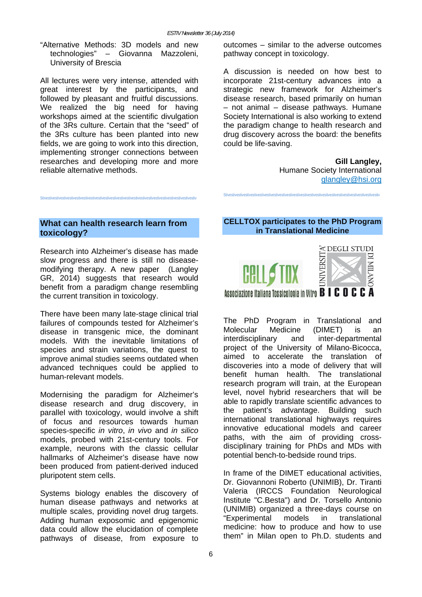"Alternative Methods: 3D models and new technologies" – Giovanna Mazzoleni, University of Brescia

All lectures were very intense, attended with great interest by the participants, and followed by pleasant and fruitful discussions. We realized the big need for having workshops aimed at the scientific divulgation of the 3Rs culture. Certain that the "seed" of the 3Rs culture has been planted into new fields, we are going to work into this direction, implementing stronger connections between researches and developing more and more reliable alternative methods.

outcomes – similar to the adverse outcomes pathway concept in toxicology.

A discussion is needed on how best to incorporate 21st-century advances into a strategic new framework for Alzheimer's disease research, based primarily on human – not animal – disease pathways. Humane Society International is also working to extend the paradigm change to health research and drug discovery across the board: the benefits could be life-saving.

> **Gill Langley,**  Humane Society International glangley@hsi.org

# **What can health research learn from toxicology?**

Stivestivestivestivestivestivestivestivestivestivestivestivestivestivestivestivestivestivestivestivestivestiv

Research into Alzheimer's disease has made slow progress and there is still no diseasemodifying therapy. A new paper (Langley GR, 2014) suggests that research would benefit from a paradigm change resembling the current transition in toxicology.

There have been many late-stage clinical trial failures of compounds tested for Alzheimer's disease in transgenic mice, the dominant models. With the inevitable limitations of species and strain variations, the quest to improve animal studies seems outdated when advanced techniques could be applied to human-relevant models.

Modernising the paradigm for Alzheimer's disease research and drug discovery, in parallel with toxicology, would involve a shift of focus and resources towards human species-specific *in vitro*, *in vivo* and *in silico* models, probed with 21st-century tools. For example, neurons with the classic cellular hallmarks of Alzheimer's disease have now been produced from patient-derived induced pluripotent stem cells.

Systems biology enables the discovery of human disease pathways and networks at multiple scales, providing novel drug targets. Adding human exposomic and epigenomic data could allow the elucidation of complete pathways of disease, from exposure to

# **CELLTOX participates to the PhD Program in Translational Medicine**

Stivestivestivestivestivestivestivestivestivestivestivestivestivestivestivestivestivestivestivestivestivestiv



The PhD Program in Translational and<br>Molecular Medicine (DIMET) is an Molecular Medicine (DIMET) is an interdisciplinary and inter-departmental project of the University of Milano-Bicocca, aimed to accelerate the translation of discoveries into a mode of delivery that will benefit human health. The translational research program will train, at the European level, novel hybrid researchers that will be able to rapidly translate scientific advances to the patient's advantage. Building such international translational highways requires innovative educational models and career paths, with the aim of providing crossdisciplinary training for PhDs and MDs with potential bench-to-bedside round trips.

In frame of the DIMET educational activities, Dr. Giovannoni Roberto (UNIMIB), Dr. Tiranti Valeria (IRCCS Foundation Neurological Institute "C.Besta") and Dr. Torsello Antonio (UNIMIB) organized a three-days course on "Experimental models in translational medicine: how to produce and how to use them" in Milan open to Ph.D. students and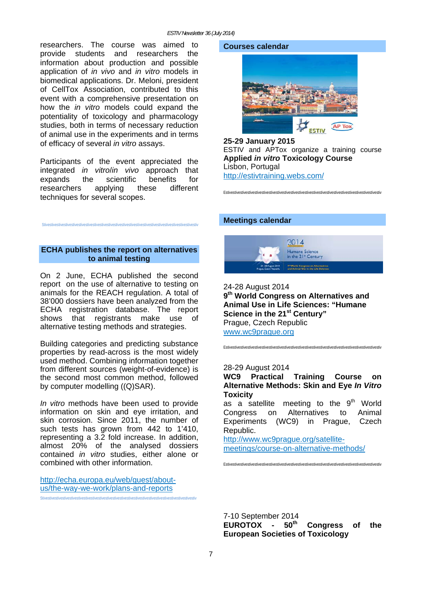researchers. The course was aimed to provide students and researchers the information about production and possible application of *in vivo* and *in vitro* models in biomedical applications. Dr. Meloni, president of CellTox Association, contributed to this event with a comprehensive presentation on how the *in vitro* models could expand the potentiality of toxicology and pharmacology studies, both in terms of necessary reduction of animal use in the experiments and in terms of efficacy of several *in vitro* assays.

Participants of the event appreciated the integrated *in vitro*/*in vivo* approach that expands the scientific benefits for researchers applying these different techniques for several scopes.

# **ECHA publishes the report on alternatives to animal testing**

Stivestivestivestivestivestivestivestivestivestivestivestivestivestivestivestivestivestivestivestivestivestiv

On 2 June, ECHA published the second report on the use of alternative to testing on animals for the REACH regulation. A total of 38'000 dossiers have been analyzed from the ECHA registration database. The report shows that registrants make use of alternative testing methods and strategies.

Building categories and predicting substance properties by read-across is the most widely used method. Combining information together from different sources (weight-of-evidence) is the second most common method, followed by computer modelling ((Q)SAR).

*In vitro* methods have been used to provide information on skin and eye irritation, and skin corrosion. Since 2011, the number of such tests has grown from 442 to 1'410, representing a 3.2 fold increase. In addition, almost 20% of the analysed dossiers contained *in vitro* studies, either alone or combined with other information.

http://echa.europa.eu/web/guest/aboutus/the-way-we-work/plans-and-reports

#### **Courses calendar**



**25-29 January 2015**  ESTIV and APTox organize a training course **Applied** *in vitro* **Toxicology Course**  Lisbon, Portugal http://estivtraining.webs.com/

Estivestivestivestivestivestivestivestivestivestivestivestivestivestivestivestivestivestivestivestivestivestiv

#### **Meetings calendar**



24-28 August 2014 **9th World Congress on Alternatives and Animal Use in Life Sciences: "Humane Science in the 21st Century"**  Prague, Czech Republic www.wc9prague.org

Estivestivestivestivestivestivestivestivestivestivestivestivestivestivestivestivestivestivestivestivestivestiv

#### 28-29 August 2014

**WC9 Practical Training Course on Alternative Methods: Skin and Eye** *In Vitro* **Toxicity** 

as a satellite meeting to the 9<sup>th</sup> World Congress on Alternatives to Animal Experiments (WC9) in Prague, Czech Republic.

http://www.wc9prague.org/satellitemeetings/course-on-alternative-methods/

Estivestivestivestivestivestivestivestivestivestivestivestivestivestivestivestivestivestivestivestivestivestiv

7-10 September 2014 EUROTOX - 50<sup>th</sup> Congress of the **European Societies of Toxicology** 

Stivestivestivestivestivestivestivestivestivestivestivestivestivestivestivestivestivestivestivestivestivestiv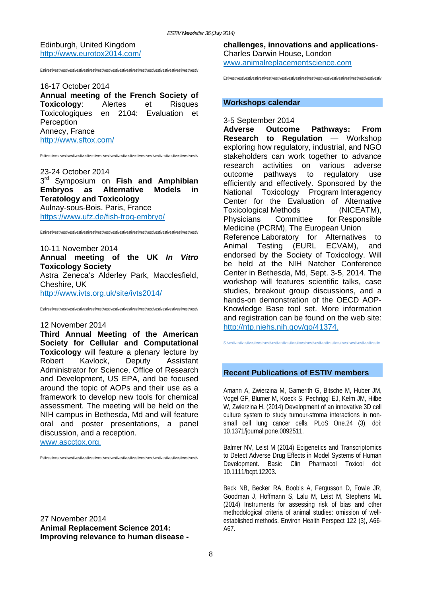Edinburgh, United Kingdom http://www.eurotox2014.com/

Estivestivestivestivestivestivestivestivestivestivestivestivestivestivestivestivestivestivestivestivestivestiv

16-17 October 2014

**Annual meeting of the French Society of Toxicology**: Alertes et Risques Toxicologiques en 2104: Evaluation et **Perception** Annecy, France http://www.sftox.com/

Estivestivestivestivestivestivestivestivestivestivestivestivestivestivestivestivestivestivestivestivestivestiv

#### 23-24 October 2014

3rd Symposium on **Fish and Amphibian Embryos as Alternative Models in Teratology and Toxicology** Aulnay-sous-Bois, Paris, France https://www.ufz.de/fish-frog-embryo/

Estivestivestivestivestivestivestivestivestivestivestivestivestivestivestivestivestivestivestivestivestivestiv

10-11 November 2014 **Annual meeting of the UK** *In Vitro* **Toxicology Society**  Astra Zeneca's Alderley Park, Macclesfield, Cheshire, UK http://www.ivts.org.uk/site/ivts2014/

Estivestivestivestivestivestivestivestivestivestivestivestivestivestivestivestivestivestivestivestivestivestiv

#### 12 November 2014

**Third Annual Meeting of the American Society for Cellular and Computational Toxicology** will feature a plenary lecture by Robert Kavlock, Deputy Assistant Administrator for Science, Office of Research and Development, US EPA, and be focused around the topic of AOPs and their use as a framework to develop new tools for chemical assessment. The meeting will be held on the NIH campus in Bethesda, Md and will feature oral and poster presentations, a panel discussion, and a reception.

www.ascctox.org.

Estivestivestivestivestivestivestivestivestivestivestivestivestivestivestivestivestivestivestivestivestivestiv

27 November 2014 **Animal Replacement Science 2014: Improving relevance to human disease -**  **challenges, innovations and applications**-Charles Darwin House, London www.animalreplacementscience.com

Estivestivestivestivestivestivestivestivestivestivestivestivestivestivestivestivestivestivestivestivestivestiv

#### **Workshops calendar**

# 3-5 September 2014

**Adverse Outcome Pathways: From Research to Regulation** — Workshop exploring how regulatory, industrial, and NGO stakeholders can work together to advance research activities on various adverse outcome pathways to regulatory use efficiently and effectively. Sponsored by the National Toxicology Program Interagency Center for the Evaluation of Alternative Toxicological Methods (NICEATM), Physicians Committee for Responsible Medicine (PCRM), The European Union Reference Laboratory for Alternatives to Animal Testing (EURL ECVAM), and endorsed by the Society of Toxicology. Will be held at the NIH Natcher Conference Center in Bethesda, Md, Sept. 3-5, 2014. The workshop will features scientific talks, case studies, breakout group discussions, and a hands-on demonstration of the OECD AOP-Knowledge Base tool set. More information and registration can be found on the web site: http://ntp.niehs.nih.gov/go/41374.

Stivestivestivestivestivestivestivestivestivestivestivestivestivestivestivestivestivestivestivestivestivestiv

### **Recent Publications of ESTIV members**

Amann A, Zwierzina M, Gamerith G, Bitsche M, Huber JM, Vogel GF, Blumer M, Koeck S, Pechriggl EJ, Kelm JM, Hilbe W, Zwierzina H. (2014) Development of an innovative 3D cell culture system to study tumour-stroma interactions in nonsmall cell lung cancer cells. PLoS One.24 (3), doi: 10.1371/journal.pone.0092511.

Balmer NV, Leist M (2014) Epigenetics and Transcriptomics to Detect Adverse Drug Effects in Model Systems of Human Development. Basic Clin Pharmacol Toxicol doi: 10.1111/bcpt.12203.

Beck NB, Becker RA, Boobis A, Fergusson D, Fowle JR, Goodman J, Hoffmann S, Lalu M, Leist M, Stephens ML (2014) Instruments for assessing risk of bias and other methodological criteria of animal studies: omission of wellestablished methods. Environ Health Perspect 122 (3), A66- A67.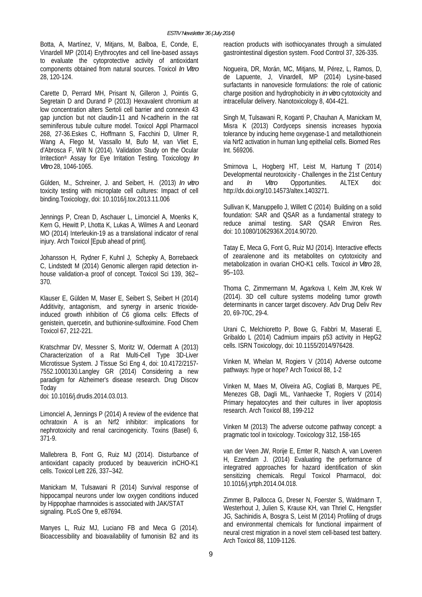Botta, A, Martínez, V, Mitjans, M, Balboa, E, Conde, E, Vinardell MP (2014) Erythrocytes and cell line-based assays to evaluate the cytoprotective activity of antioxidant components obtained from natural sources. Toxicol *In Vitro* 28, 120-124.

Carette D, Perrard MH, Prisant N, Gilleron J, Pointis G, Segretain D and Durand P (2013) Hexavalent chromium at low concentration alters Sertoli cell barrier and connexin 43 gap junction but not claudin-11 and N-cadherin in the rat seminiferous tubule culture model. Toxicol Appl Pharmacol 268, 27-36.Eskes C, Hoffmann S, Facchini D, Ulmer R, Wang A, Flego M, Vassallo M, Bufo M, van Vliet E, d'Abrosca F, Wilt N (2014). Validation Study on the Ocular Irritection® Assay for Eye Irritation Testing. Toxicology *In Vitro* 28, 1046-1065.

Gülden, M., Schreiner, J. and Seibert, H. (2013) *In vitro* toxicity testing with microplate cell cultures: Impact of cell binding.Toxicology, doi: 10.1016/j.tox.2013.11.006

Jennings P, Crean D, Aschauer L, Limonciel A, Moenks K, Kern G, Hewitt P, Lhotta K, Lukas A, Wilmes A and Leonard MO (2014) Interleukin-19 as a translational indicator of renal injury. Arch Toxicol [Epub ahead of print].

Johansson H, Rydner F, Kuhnl J, Schepky A, Borrebaeck C, Lindstedt M (2014) Genomic allergen rapid detection inhouse validation-a proof of concept. Toxicol Sci 139, 362– 370.

Klauser E, Gülden M, Maser E, Seibert S, Seibert H (2014) Additivity, antagonism, and synergy in arsenic trioxideinduced growth inhibition of C6 glioma cells: Effects of genistein, quercetin, and buthionine-sulfoximine. Food Chem Toxicol 67, 212-221.

Kratschmar DV, Messner S, Moritz W, Odermatt A (2013) Characterization of a Rat Multi-Cell Type 3D-Liver Microtissue System. J Tissue Sci Eng 4, doi: 10.4172/2157- 7552.1000130.Langley GR (2014) Considering a new paradigm for Alzheimer's disease research. Drug Discov Today

doi: 10.1016/j.drudis.2014.03.013.

Limonciel A, Jennings P (2014) A review of the evidence that ochratoxin A is an Nrf2 inhibitor: implications for nephrotoxicity and renal carcinogenicity. Toxins (Basel) 6, 371-9.

Mallebrera B, Font G, Ruiz MJ (2014). Disturbance of antioxidant capacity produced by beauvericin inCHO-K1 cells. Toxicol Lett 226, 337–342.

Manickam M, Tulsawani R (2014) Survival response of hippocampal neurons under low oxygen conditions induced by Hippophae rhamnoides is associated with JAK/STAT signaling. PLoS One 9, e87694.

Manyes L, Ruiz MJ, Luciano FB and Meca G (2014). Bioaccessibility and bioavailability of fumonisin B2 and its reaction products with isothiocyanates through a simulated gastrointestinal digestion system. Food Control 37, 326-335.

Nogueira, DR, Morán, MC, Mitjans, M, Pérez, L, Ramos, D, de Lapuente, J, Vinardell, MP (2014) Lysine-based surfactants in nanovesicle formulations: the role of cationic charge position and hydrophobicity in *in vitro* cytotoxicity and intracellular delivery. Nanotoxicology 8, 404-421.

Singh M, Tulsawani R, Koganti P, Chauhan A, Manickam M, Misra K (2013) Cordyceps sinensis increases hypoxia tolerance by inducing heme oxygenase-1 and metallothionein via Nrf2 activation in human lung epithelial cells. Biomed Res Int. 569206.

Smirnova L, Hogberg HT, Leist M, Hartung T (2014) Developmental neurotoxicity - Challenges in the 21st Century and *In Vitro* Opportunities. ALTEX doi: http://dx.doi.org/10.14573/altex.1403271.

Sullivan K, Manuppello J, Willett C (2014) Building on a solid foundation: SAR and QSAR as a fundamental strategy to reduce animal testing. SAR QSAR Environ Res. doi: 10.1080/1062936X.2014.90720.

Tatay E, Meca G, Font G, Ruiz MJ (2014). Interactive effects of zearalenone and its metabolites on cytotoxicity and metabolization in ovarian CHO-K1 cells. Toxicol *in Vitro* 28, 95–103.

Thoma C, Zimmermann M, Agarkova I, Kelm JM, Krek W (2014). 3D cell culture systems modeling tumor growth determinants in cancer target discovery. Adv Drug Deliv Rev 20, 69-70C, 29-4.

Urani C, Melchioretto P, Bowe G, Fabbri M, Maserati E, Gribaldo L (2014) Cadmium impairs p53 activity in HepG2 cells. ISRN Toxicology, doi: 10.1155/2014/976428.

Vinken M, Whelan M, Rogiers V (2014) Adverse outcome pathways: hype or hope? Arch Toxicol 88, 1-2

Vinken M, Maes M, Oliveira AG, Cogliati B, Marques PE, Menezes GB, Dagli ML, Vanhaecke T, Rogiers V (2014) Primary hepatocytes and their cultures in liver apoptosis research. Arch Toxicol 88, 199-212

Vinken M (2013) The adverse outcome pathway concept: a pragmatic tool in toxicology. Toxicology 312, 158-165

van der Veen JW, Rorije E, Emter R, Natsch A, van Loveren H, Ezendam J. (2014) Evaluating the performance of integratred approaches for hazard identification of skin sensitizing chemicals. Regul Toxicol Pharmacol, doi: 10.1016/j.yrtph.2014.04.018.

Zimmer B, Pallocca G, Dreser N, Foerster S, Waldmann T, Westerhout J, Julien S, Krause KH, van Thriel C, Hengstler JG, Sachinidis A, Bosgra S, Leist M (2014) Profiling of drugs and environmental chemicals for functional impairment of neural crest migration in a novel stem cell-based test battery. Arch Toxicol 88, 1109-1126.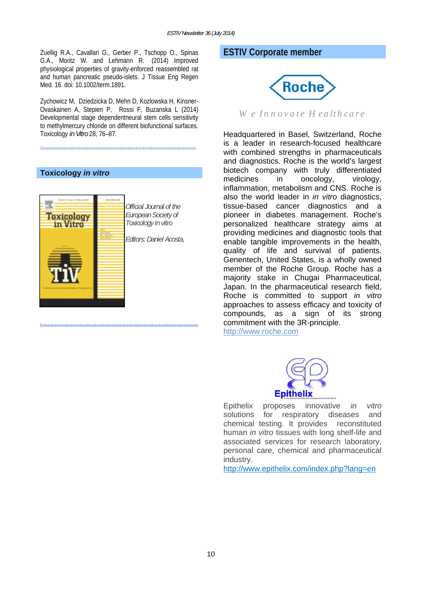Zuellig R.A., Cavallari G., Gerber P., Tschopp O., Spinas G.A., Moritz W. and Lehmann R. (2014) Improved physiological properties of gravity-enforced reassembled rat and human pancreatic pseudo-islets. J Tissue Eng Regen Med. 16. doi: 10.1002/term.1891.

Zychowicz M, Dziedzicka D, Mehn D, Kozlowska H, Kinsner-Ovaskainen A, Stepien P, Rossi F, Buzanska L (2014) Developmental stage dependentneural stem cells sensitivity to methylmercury chloride on different biofunctional surfaces. Toxicology *in Vitro* 28, 76–87.

Stivestivestivestivestivestivestivestivestivestivestivestivestivestivestivestivestivestivestivestivestivestiv

# **Toxicology** *in vitro*



Estivestivestivestivestivestivestivestivestivestivestivestivestivestivestivestivestivestivestivestivestivestiv

# **ESTIV Corporate member**



*W e In n ovate H ealth care*

Headquartered in Basel, Switzerland, Roche is a leader in research-focused healthcare with combined strengths in pharmaceuticals and diagnostics. Roche is the world's largest biotech company with truly differentiated medicines in oncology, virology, inflammation, metabolism and CNS. Roche is also the world leader in *in vitro* diagnostics, tissue-based cancer diagnostics and a pioneer in diabetes management. Roche's personalized healthcare strategy aims at providing medicines and diagnostic tools that enable tangible improvements in the health, quality of life and survival of patients. Genentech, United States, is a wholly owned member of the Roche Group. Roche has a majority stake in Chugai Pharmaceutical, Japan. In the pharmaceutical research field, Roche is committed to support *in vitro* approaches to assess efficacy and toxicity of compounds, as a sign of its strong commitment with the 3R-principle.

http://www.roche.com



Epithelix proposes innovative *in vitro* solutions for respiratory diseases and chemical testing. It provides reconstituted human *in vitro* tissues with long shelf-life and associated services for research laboratory, personal care, chemical and pharmaceutical industry.

http://www.epithelix.com/index.php?lang=en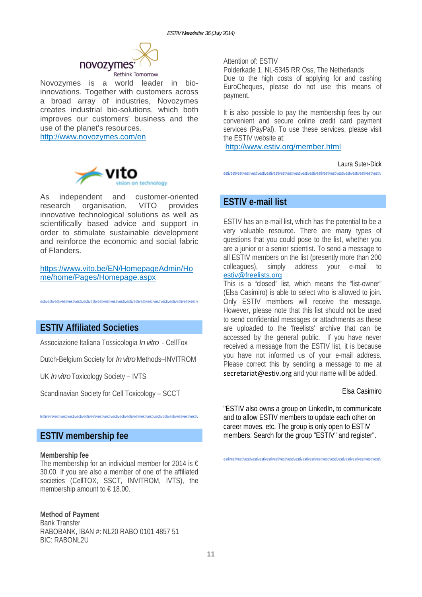

Novozymes is a world leader in bioinnovations. Together with customers across a broad array of industries, Novozymes creates industrial bio-solutions, which both improves our customers' business and the use of the planet's resources.

http://www.novozymes.com/en



As independent and customer-oriented research organisation, VITO provides innovative technological solutions as well as scientifically based advice and support in order to stimulate sustainable development and reinforce the economic and social fabric of Flanders.

# https://www.vito.be/EN/HomepageAdmin/Ho me/home/Pages/Homepage.aspx

estivestivestivestivestivestivestivestivestivestivestivestivestivestivestivestivestivestivestivestivestivestiv

# **ESTIV Affiliated Societies**

Associazione Italiana Tossicologia *In vitro* - CellTox

Dutch-Belgium Society for *In vitro* Methods–INVITROM

UK *In vitro* Toxicology Society – IVTS

Scandinavian Society for Cell Toxicology – SCCT

Estivestivestivestivestivestivestivestivestivestivestivestivestivestivestivestivestivestivestivestivestivestiv

**ESTIV membership fee** 

#### **Membership fee**

The membership for an individual member for 2014 is  $\epsilon$ 30.00. If you are also a member of one of the affiliated societies (CellTOX, SSCT, INVITROM, IVTS), the membership amount to  $\epsilon$  18.00.

**Method of Payment**  Bank Transfer RABOBANK, IBAN #: NL20 RABO 0101 4857 51 **BIC: RABONL2U** 

Attention of: ESTIV

Polderkade 1, NL-5345 RR Oss, The Netherlands Due to the high costs of applying for and cashing EuroCheques, please do not use this means of payment.

It is also possible to pay the membership fees by our convenient and secure online credit card payment services (PayPal). To use these services, please visit the ESTIV website at:

http://www.estiv.org/member.html

Laura Suter-Dick

estivestivestivestivestivestivestivestivestivestivestivestivestivestivestivestivestivestivestivestivestivestiv

# **ESTIV e-mail list**

ESTIV has an e-mail list, which has the potential to be a very valuable resource. There are many types of questions that you could pose to the list, whether you are a junior or a senior scientist. To send a message to all ESTIV members on the list (presently more than 200 colleagues), simply address your e-mail to estiv@freelists.org

This is a "closed" list, which means the "list-owner" (Elsa Casimiro) is able to select who is allowed to join. Only ESTIV members will receive the message. However, please note that this list should not be used to send confidential messages or attachments as these are uploaded to the 'freelists' archive that can be accessed by the general public. If you have never received a message from the ESTIV list, it is because you have not informed us of your e-mail address. Please correct this by sending a message to me at secretariat@estiv.org and your name will be added.

### Elsa Casimiro

"ESTIV also owns a group on LinkedIn, to communicate and to allow ESTIV members to update each other on career moves, etc. The group is only open to ESTIV members. Search for the group "ESTIV" and register".

estivestivestivestivestivestivestivestivestivestivestivestivestivestivestivestivestivestivestivestivestivestiv